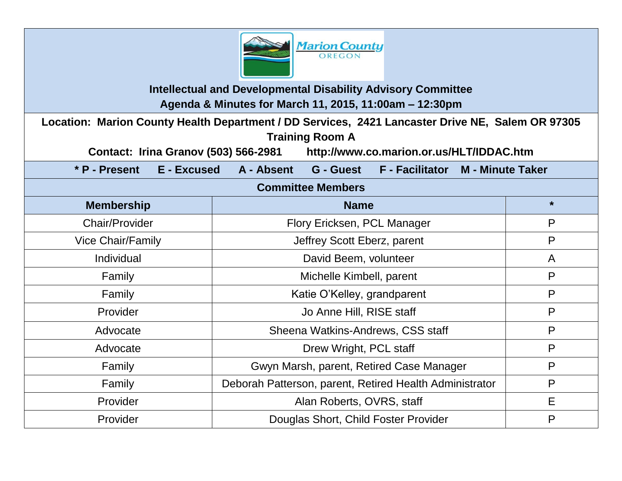

**Intellectual and Developmental Disability Advisory Committee Agenda & Minutes for March 11, 2015, 11:00am – 12:30pm**

**Location: Marion County Health Department / DD Services, 2421 Lancaster Drive NE, Salem OR 97305 Training Room A** 

**Contact: Irina Granov (503) 566-2981 http://www.co.marion.or.us/HLT/IDDAC.htm**

**\* P - Present E - Excused A - Absent G - Guest F - Facilitator M - Minute Taker**

### **Committee Members**

| <b>Membership</b>        | <b>Name</b>                                             | $\star$      |
|--------------------------|---------------------------------------------------------|--------------|
| <b>Chair/Provider</b>    | Flory Ericksen, PCL Manager                             | P            |
| <b>Vice Chair/Family</b> | Jeffrey Scott Eberz, parent                             | P            |
| Individual               | David Beem, volunteer                                   | $\mathsf{A}$ |
| Family                   | Michelle Kimbell, parent                                | P            |
| Family                   | Katie O'Kelley, grandparent                             | P            |
| Provider                 | Jo Anne Hill, RISE staff                                | P            |
| Advocate                 | Sheena Watkins-Andrews, CSS staff                       | P            |
| Advocate                 | Drew Wright, PCL staff                                  | P            |
| Family                   | Gwyn Marsh, parent, Retired Case Manager                | P            |
| Family                   | Deborah Patterson, parent, Retired Health Administrator | P            |
| Provider                 | Alan Roberts, OVRS, staff                               | E            |
| Provider                 | Douglas Short, Child Foster Provider                    | P            |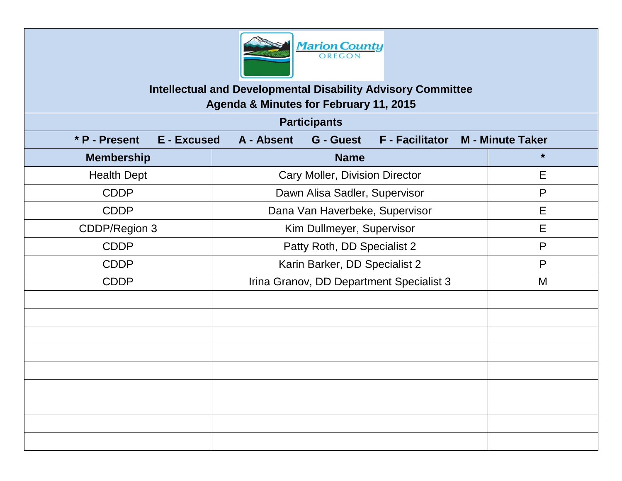

**Intellectual and Developmental Disability Advisory Committee**

**Agenda & Minutes for February 11, 2015**

| <b>Participants</b>                 |                                                                    |              |  |
|-------------------------------------|--------------------------------------------------------------------|--------------|--|
| * P - Present<br><b>E</b> - Excused | F - Facilitator M - Minute Taker<br>A - Absent<br><b>G</b> - Guest |              |  |
| <b>Membership</b>                   | <b>Name</b>                                                        | $\star$      |  |
| <b>Health Dept</b>                  | Cary Moller, Division Director                                     | E            |  |
| <b>CDDP</b>                         | Dawn Alisa Sadler, Supervisor                                      | $\mathsf{P}$ |  |
| <b>CDDP</b>                         | Dana Van Haverbeke, Supervisor                                     | E            |  |
| CDDP/Region 3                       | Kim Dullmeyer, Supervisor                                          | E            |  |
| <b>CDDP</b>                         | Patty Roth, DD Specialist 2                                        | P            |  |
| <b>CDDP</b>                         | Karin Barker, DD Specialist 2                                      | P            |  |
| <b>CDDP</b>                         | Irina Granov, DD Department Specialist 3                           | M            |  |
|                                     |                                                                    |              |  |
|                                     |                                                                    |              |  |
|                                     |                                                                    |              |  |
|                                     |                                                                    |              |  |
|                                     |                                                                    |              |  |
|                                     |                                                                    |              |  |
|                                     |                                                                    |              |  |
|                                     |                                                                    |              |  |
|                                     |                                                                    |              |  |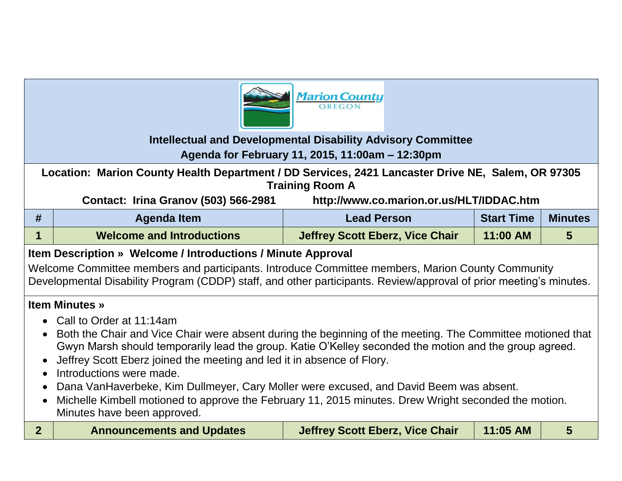

## **Intellectual and Developmental Disability Advisory Committee**

## **Agenda for February 11, 2015, 11:00am – 12:30pm**

**Location: Marion County Health Department / DD Services, 2421 Lancaster Drive NE, Salem, OR 97305 Training Room A**

**Contact: Irina Granov (503) 566-2981 http://www.co.marion.or.us/HLT/IDDAC.htm**

| # | Agenda Item                      | <b>Lead Person</b>                     | <b>Start Time</b> | <b>Minutes</b> |
|---|----------------------------------|----------------------------------------|-------------------|----------------|
|   | <b>Welcome and Introductions</b> | <b>Jeffrey Scott Eberz, Vice Chair</b> | 11:00 AM          |                |

# **Item Description » Welcome / Introductions / Minute Approval**

Welcome Committee members and participants. Introduce Committee members, Marion County Community Developmental Disability Program (CDDP) staff, and other participants. Review/approval of prior meeting's minutes.

### **Item Minutes »**

- Call to Order at 11:14am
- Both the Chair and Vice Chair were absent during the beginning of the meeting. The Committee motioned that Gwyn Marsh should temporarily lead the group. Katie O'Kelley seconded the motion and the group agreed.
- Jeffrey Scott Eberz joined the meeting and led it in absence of Flory.
- Introductions were made.
- Dana VanHaverbeke, Kim Dullmeyer, Cary Moller were excused, and David Beem was absent.
- Michelle Kimbell motioned to approve the February 11, 2015 minutes. Drew Wright seconded the motion. Minutes have been approved.

| <b>Jeffrey Scott Eberz, Vice Chair</b><br>11:05 AM<br><b>Announcements and Updates</b> |
|----------------------------------------------------------------------------------------|
|----------------------------------------------------------------------------------------|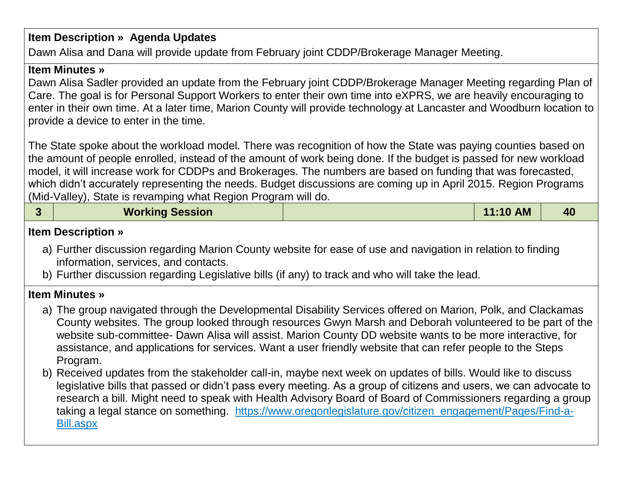# **Item Description » Agenda Updates**

Dawn Alisa and Dana will provide update from February joint CDDP/Brokerage Manager Meeting.

#### **Item Minutes »**

Dawn Alisa Sadler provided an update from the February joint CDDP/Brokerage Manager Meeting regarding Plan of Care. The goal is for Personal Support Workers to enter their own time into eXPRS, we are heavily encouraging to enter in their own time. At a later time, Marion County will provide technology at Lancaster and Woodburn location to provide a device to enter in the time.

The State spoke about the workload model. There was recognition of how the State was paying counties based on the amount of people enrolled, instead of the amount of work being done. If the budget is passed for new workload model, it will increase work for CDDPs and Brokerages. The numbers are based on funding that was forecasted, which didn't accurately representing the needs. Budget discussions are coming up in April 2015. Region Programs (Mid-Valley), State is revamping what Region Program will do.

|  | <b>Working Session</b> | $\vert$ 11:10 AM | 40 |
|--|------------------------|------------------|----|
|--|------------------------|------------------|----|

#### **Item Description »**

- a) Further discussion regarding Marion County website for ease of use and navigation in relation to finding information, services, and contacts.
- b) Further discussion regarding Legislative bills (if any) to track and who will take the lead.

#### **Item Minutes »**

- a) The group navigated through the Developmental Disability Services offered on Marion, Polk, and Clackamas County websites. The group looked through resources Gwyn Marsh and Deborah volunteered to be part of the website sub-committee- Dawn Alisa will assist. Marion County DD website wants to be more interactive, for assistance, and applications for services. Want a user friendly website that can refer people to the Steps Program.
- b) Received updates from the stakeholder call-in, maybe next week on updates of bills. Would like to discuss legislative bills that passed or didn't pass every meeting. As a group of citizens and users, we can advocate to research a bill. Might need to speak with Health Advisory Board of Board of Commissioners regarding a group taking a legal stance on something. https://www.oregonlegislature.gov/citizen\_engagement/Pages/Find-a-Bill.aspx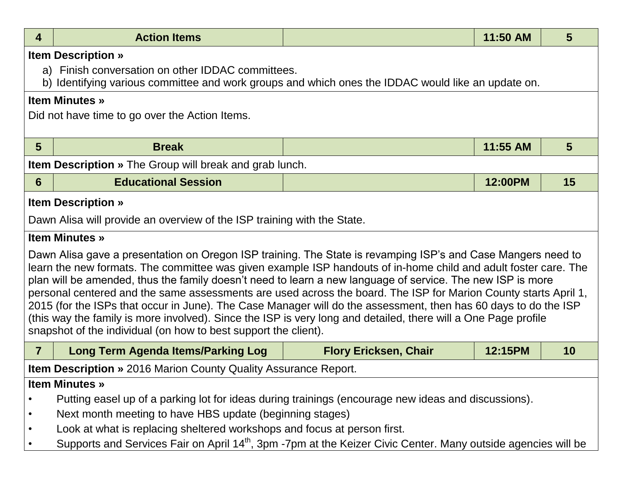| 4                                                                                                                                                                                                                                                                                                                                                                                                                                                                                                                                                                                                                                                                                                                                                                        | <b>Action Items</b>                                                                                                                                     |                              | 11:50 AM | 5  |
|--------------------------------------------------------------------------------------------------------------------------------------------------------------------------------------------------------------------------------------------------------------------------------------------------------------------------------------------------------------------------------------------------------------------------------------------------------------------------------------------------------------------------------------------------------------------------------------------------------------------------------------------------------------------------------------------------------------------------------------------------------------------------|---------------------------------------------------------------------------------------------------------------------------------------------------------|------------------------------|----------|----|
|                                                                                                                                                                                                                                                                                                                                                                                                                                                                                                                                                                                                                                                                                                                                                                          | <b>Item Description »</b>                                                                                                                               |                              |          |    |
|                                                                                                                                                                                                                                                                                                                                                                                                                                                                                                                                                                                                                                                                                                                                                                          | a) Finish conversation on other IDDAC committees.<br>b) Identifying various committee and work groups and which ones the IDDAC would like an update on. |                              |          |    |
|                                                                                                                                                                                                                                                                                                                                                                                                                                                                                                                                                                                                                                                                                                                                                                          | <b>Item Minutes</b> »                                                                                                                                   |                              |          |    |
|                                                                                                                                                                                                                                                                                                                                                                                                                                                                                                                                                                                                                                                                                                                                                                          | Did not have time to go over the Action Items.                                                                                                          |                              |          |    |
| 5                                                                                                                                                                                                                                                                                                                                                                                                                                                                                                                                                                                                                                                                                                                                                                        | <b>Break</b>                                                                                                                                            |                              | 11:55 AM | 5  |
|                                                                                                                                                                                                                                                                                                                                                                                                                                                                                                                                                                                                                                                                                                                                                                          | <b>Item Description</b> » The Group will break and grab lunch.                                                                                          |                              |          |    |
| 6                                                                                                                                                                                                                                                                                                                                                                                                                                                                                                                                                                                                                                                                                                                                                                        | <b>Educational Session</b>                                                                                                                              |                              | 12:00PM  | 15 |
|                                                                                                                                                                                                                                                                                                                                                                                                                                                                                                                                                                                                                                                                                                                                                                          | <b>Item Description »</b>                                                                                                                               |                              |          |    |
|                                                                                                                                                                                                                                                                                                                                                                                                                                                                                                                                                                                                                                                                                                                                                                          | Dawn Alisa will provide an overview of the ISP training with the State.                                                                                 |                              |          |    |
|                                                                                                                                                                                                                                                                                                                                                                                                                                                                                                                                                                                                                                                                                                                                                                          | <b>Item Minutes »</b>                                                                                                                                   |                              |          |    |
| Dawn Alisa gave a presentation on Oregon ISP training. The State is revamping ISP's and Case Mangers need to<br>learn the new formats. The committee was given example ISP handouts of in-home child and adult foster care. The<br>plan will be amended, thus the family doesn't need to learn a new language of service. The new ISP is more<br>personal centered and the same assessments are used across the board. The ISP for Marion County starts April 1,<br>2015 (for the ISPs that occur in June). The Case Manager will do the assessment, then has 60 days to do the ISP<br>(this way the family is more involved). Since the ISP is very long and detailed, there will a One Page profile<br>snapshot of the individual (on how to best support the client). |                                                                                                                                                         |                              |          |    |
| $\overline{7}$                                                                                                                                                                                                                                                                                                                                                                                                                                                                                                                                                                                                                                                                                                                                                           | <b>Long Term Agenda Items/Parking Log</b>                                                                                                               | <b>Flory Ericksen, Chair</b> | 12:15PM  | 10 |
|                                                                                                                                                                                                                                                                                                                                                                                                                                                                                                                                                                                                                                                                                                                                                                          | <b>Item Description</b> » 2016 Marion County Quality Assurance Report.                                                                                  |                              |          |    |
|                                                                                                                                                                                                                                                                                                                                                                                                                                                                                                                                                                                                                                                                                                                                                                          | <b>Item Minutes »</b>                                                                                                                                   |                              |          |    |
|                                                                                                                                                                                                                                                                                                                                                                                                                                                                                                                                                                                                                                                                                                                                                                          | Putting easel up of a parking lot for ideas during trainings (encourage new ideas and discussions).                                                     |                              |          |    |
| $\bullet$                                                                                                                                                                                                                                                                                                                                                                                                                                                                                                                                                                                                                                                                                                                                                                | Next month meeting to have HBS update (beginning stages)                                                                                                |                              |          |    |
| $\bullet$                                                                                                                                                                                                                                                                                                                                                                                                                                                                                                                                                                                                                                                                                                                                                                | Look at what is replacing sheltered workshops and focus at person first.                                                                                |                              |          |    |
| $\bullet$                                                                                                                                                                                                                                                                                                                                                                                                                                                                                                                                                                                                                                                                                                                                                                | Supports and Services Fair on April 14 <sup>th</sup> , 3pm -7pm at the Keizer Civic Center. Many outside agencies will be                               |                              |          |    |
|                                                                                                                                                                                                                                                                                                                                                                                                                                                                                                                                                                                                                                                                                                                                                                          |                                                                                                                                                         |                              |          |    |